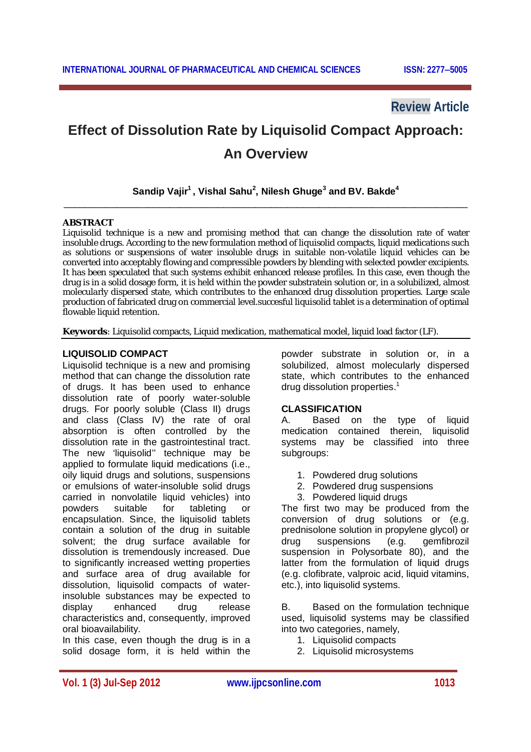## **Review Article**

# **Effect of Dissolution Rate by Liquisolid Compact Approach: An Overview**

## **Sandip Vajir<sup>1</sup> , Vishal Sahu<sup>2</sup> , Nilesh Ghuge<sup>3</sup> and BV. Bakde<sup>4</sup>** \_\_\_\_\_\_\_\_\_\_\_\_\_\_\_\_\_\_\_\_\_\_\_\_\_\_\_\_\_\_\_\_\_\_\_\_\_\_\_\_\_\_\_\_\_\_\_\_\_\_\_\_\_\_\_\_\_\_\_\_\_\_\_\_\_\_\_\_\_\_\_\_\_\_\_\_

## **ABSTRACT**

Liquisolid technique is a new and promising method that can change the dissolution rate of water insoluble drugs. According to the new formulation method of liquisolid compacts, liquid medications such as solutions or suspensions of water insoluble drugs in suitable non-volatile liquid vehicles can be converted into acceptably flowing and compressible powders by blending with selected powder excipients. It has been speculated that such systems exhibit enhanced release profiles. In this case, even though the drug is in a solid dosage form, it is held within the powder substratein solution or, in a solubilized, almost molecularly dispersed state, which contributes to the enhanced drug dissolution properties. Large scale production of fabricated drug on commercial level.succesful liquisolid tablet is a determination of optimal flowable liquid retention.

**Keywords**: Liquisolid compacts, Liquid medication, mathematical model, liquid load factor (LF).

## **LIQUISOLID COMPACT**

Liquisolid technique is a new and promising method that can change the dissolution rate of drugs. It has been used to enhance dissolution rate of poorly water-soluble drugs. For poorly soluble (Class II) drugs and class (Class IV) the rate of oral absorption is often controlled by the dissolution rate in the gastrointestinal tract. The new 'liquisolid'' technique may be applied to formulate liquid medications (i.e., oily liquid drugs and solutions, suspensions or emulsions of water-insoluble solid drugs carried in nonvolatile liquid vehicles) into powders suitable for tableting or encapsulation. Since, the liquisolid tablets contain a solution of the drug in suitable solvent; the drug surface available for dissolution is tremendously increased. Due to significantly increased wetting properties and surface area of drug available for dissolution, liquisolid compacts of waterinsoluble substances may be expected to display enhanced drug release characteristics and, consequently, improved oral bioavailability.

In this case, even though the drug is in a solid dosage form, it is held within the powder substrate in solution or, in a solubilized, almost molecularly dispersed state, which contributes to the enhanced drug dissolution properties.<sup>1</sup>

## **CLASSIFICATION**

A. Based on the type of liquid medication contained therein, liquisolid systems may be classified into three subgroups:

- 1. Powdered drug solutions
- 2. Powdered drug suspensions
- 3. Powdered liquid drugs

The first two may be produced from the conversion of drug solutions or (e.g. prednisolone solution in propylene glycol) or drug suspensions (e.g. gemfibrozil suspension in Polysorbate 80), and the latter from the formulation of liquid drugs (e.g. clofibrate, valproic acid, liquid vitamins, etc.), into liquisolid systems.

B. Based on the formulation technique used, liquisolid systems may be classified into two categories, namely,

- 1. Liquisolid compacts
- 2. Liquisolid microsystems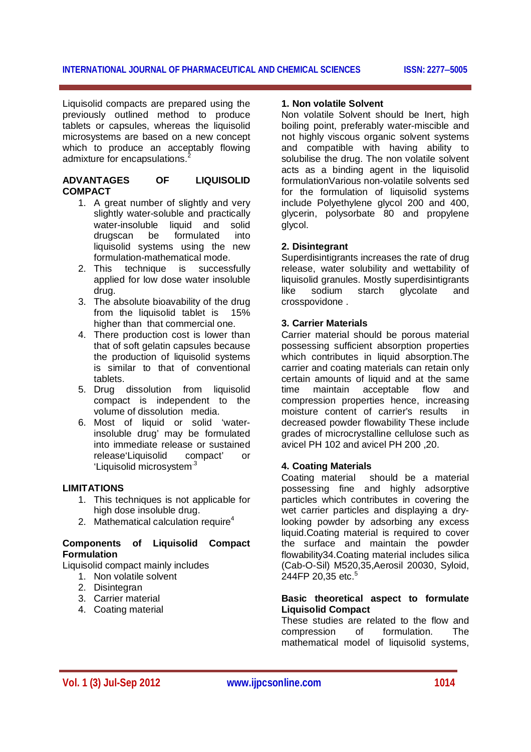Liquisolid compacts are prepared using the previously outlined method to produce tablets or capsules, whereas the liquisolid microsystems are based on a new concept which to produce an acceptably flowing admixture for encapsulations.<sup>2</sup>

## **ADVANTAGES OF LIQUISOLID COMPACT**

- 1. A great number of slightly and very slightly water-soluble and practically water-insoluble liquid and solid drugscan be formulated into liquisolid systems using the new formulation-mathematical mode.
- 2. This technique is successfully applied for low dose water insoluble drug.
- 3. The absolute bioavability of the drug from the liquisolid tablet is 15% higher than that commercial one.
- 4. There production cost is lower than that of soft gelatin capsules because the production of liquisolid systems is similar to that of conventional tablets.
- 5. Drug dissolution from liquisolid compact is independent to the volume of dissolution media.
- 6. Most of liquid or solid 'waterinsoluble drug' may be formulated into immediate release or sustained release'Liquisolid compact' or 'Liquisolid microsystem<sup>3</sup>

## **LIMITATIONS**

- 1. This techniques is not applicable for high dose insoluble drug.
- 2. Mathematical calculation require<sup>4</sup>

## **Components of Liquisolid Compact Formulation**

Liquisolid compact mainly includes

- 1. Non volatile solvent
- 2. Disintegran
- 3. Carrier material
- 4. Coating material

#### **1. Non volatile Solvent**

Non volatile Solvent should be Inert, high boiling point, preferably water-miscible and not highly viscous organic solvent systems and compatible with having ability to solubilise the drug. The non volatile solvent acts as a binding agent in the liquisolid formulationVarious non-volatile solvents sed for the formulation of liquisolid systems include Polyethylene glycol 200 and 400, glycerin, polysorbate 80 and propylene glycol.

#### **2. Disintegrant**

Superdisintigrants increases the rate of drug release, water solubility and wettability of liquisolid granules. Mostly superdisintigrants like sodium starch glycolate and crosspovidone .

#### **3. Carrier Materials**

Carrier material should be porous material possessing sufficient absorption properties which contributes in liquid absorption.The carrier and coating materials can retain only certain amounts of liquid and at the same time maintain acceptable flow and compression properties hence, increasing moisture content of carrier's results in decreased powder flowability These include grades of microcrystalline cellulose such as avicel PH 102 and avicel PH 200 ,20.

## **4. Coating Materials**

Coating material should be a material possessing fine and highly adsorptive particles which contributes in covering the wet carrier particles and displaying a drylooking powder by adsorbing any excess liquid.Coating material is required to cover the surface and maintain the powder flowability34.Coating material includes silica (Cab-O-Sil) M520,35,Aerosil 20030, Syloid, 244FP 20,35 etc. 5

#### **Basic theoretical aspect to formulate Liquisolid Compact**

These studies are related to the flow and compression of formulation. The mathematical model of liquisolid systems,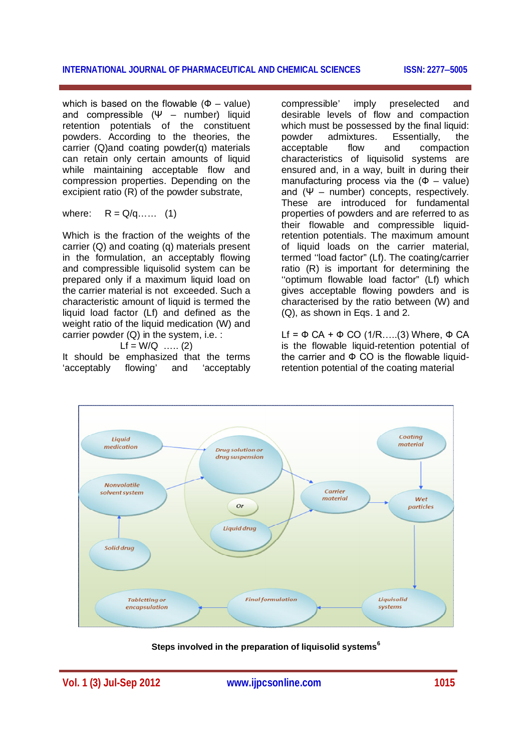which is based on the flowable  $(\Phi - \text{value})$ and compressible  $(\Psi -$  number) liquid retention potentials of the constituent powders. According to the theories, the carrier (Q)and coating powder(q) materials can retain only certain amounts of liquid while maintaining acceptable flow and compression properties. Depending on the excipient ratio (R) of the powder substrate,

where: 
$$
R = Q/q
$$
.... (1)

Which is the fraction of the weights of the carrier (Q) and coating (q) materials present in the formulation, an acceptably flowing and compressible liquisolid system can be prepared only if a maximum liquid load on the carrier material is not exceeded. Such a characteristic amount of liquid is termed the liquid load factor (Lf) and defined as the weight ratio of the liquid medication (W) and carrier powder (Q) in the system, i.e. :

 $Lf = W/Q$  …… (2)

It should be emphasized that the terms 'acceptably flowing' and 'acceptably compressible' imply preselected and desirable levels of flow and compaction which must be possessed by the final liquid:<br>powder admixtures. Essentially. the powder admixtures. Essentially, the acceptable flow and compaction characteristics of liquisolid systems are ensured and, in a way, built in during their manufacturing process via the  $(\Phi - \text{value})$ and  $(\Psi -$  number) concepts, respectively. These are introduced for fundamental properties of powders and are referred to as their flowable and compressible liquidretention potentials. The maximum amount of liquid loads on the carrier material, termed ''load factor" (Lf). The coating/carrier ratio (R) is important for determining the "optimum flowable load factor" (Lf) which gives acceptable flowing powders and is characterised by the ratio between (W) and (Q), as shown in Eqs. 1 and 2.

Lf =  $\Phi$  CA +  $\Phi$  CO (1/R.....(3) Where,  $\Phi$  CA is the flowable liquid-retention potential of the carrier and  $\Phi$  CO is the flowable liquidretention potential of the coating material



**Steps involved in the preparation of liquisolid systems<sup>6</sup>**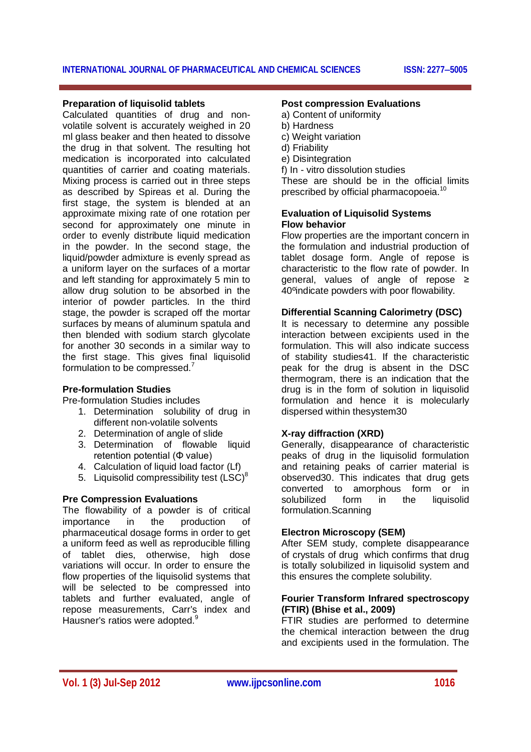## **Preparation of liquisolid tablets**

Calculated quantities of drug and nonvolatile solvent is accurately weighed in 20 ml glass beaker and then heated to dissolve the drug in that solvent. The resulting hot medication is incorporated into calculated quantities of carrier and coating materials. Mixing process is carried out in three steps as described by Spireas et al. During the first stage, the system is blended at an approximate mixing rate of one rotation per second for approximately one minute in order to evenly distribute liquid medication in the powder. In the second stage, the liquid/powder admixture is evenly spread as a uniform layer on the surfaces of a mortar and left standing for approximately 5 min to allow drug solution to be absorbed in the interior of powder particles. In the third stage, the powder is scraped off the mortar surfaces by means of aluminum spatula and then blended with sodium starch glycolate for another 30 seconds in a similar way to the first stage. This gives final liquisolid formulation to be compressed.<sup>7</sup>

## **Pre-formulation Studies**

Pre-formulation Studies includes

- 1. Determination solubility of drug in different non-volatile solvents
- 2. Determination of angle of slide
- 3. Determination of flowable liquid retention potential (Φ value)
- 4. Calculation of liquid load factor (Lf)
- 5. Liquisolid compressibility test  $(LSC)^8$

## **Pre Compression Evaluations**

The flowability of a powder is of critical importance in the production of pharmaceutical dosage forms in order to get a uniform feed as well as reproducible filling of tablet dies, otherwise, high dose variations will occur. In order to ensure the flow properties of the liquisolid systems that will be selected to be compressed into tablets and further evaluated, angle of repose measurements, Carr's index and Hausner's ratios were adopted.<sup>9</sup>

#### **Post compression Evaluations**

- a) Content of uniformity
- b) Hardness
- c) Weight variation
- d) Friability
- e) Disintegration
- f) In vitro dissolution studies
- These are should be in the official limits prescribed by official pharmacopoeia.<sup>10</sup>

## **Evaluation of Liquisolid Systems Flow behavior**

Flow properties are the important concern in the formulation and industrial production of tablet dosage form. Angle of repose is characteristic to the flow rate of powder. In general, values of angle of repose ≥ 40ºindicate powders with poor flowability.

## **Differential Scanning Calorimetry (DSC)**

It is necessary to determine any possible interaction between excipients used in the formulation. This will also indicate success of stability studies41. If the characteristic peak for the drug is absent in the DSC thermogram, there is an indication that the drug is in the form of solution in liquisolid formulation and hence it is molecularly dispersed within thesystem30

## **X-ray diffraction (XRD)**

Generally, disappearance of characteristic peaks of drug in the liquisolid formulation and retaining peaks of carrier material is observed30. This indicates that drug gets converted to amorphous form or in solubilized form in the liquisolid formulation.Scanning

## **Electron Microscopy (SEM)**

After SEM study, complete disappearance of crystals of drug which confirms that drug is totally solubilized in liquisolid system and this ensures the complete solubility.

## **Fourier Transform Infrared spectroscopy (FTIR) (Bhise et al., 2009)**

FTIR studies are performed to determine the chemical interaction between the drug and excipients used in the formulation. The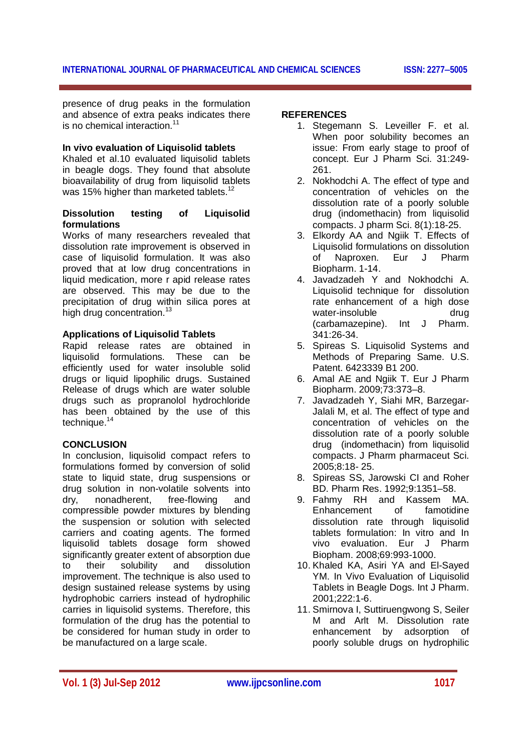presence of drug peaks in the formulation and absence of extra peaks indicates there is no chemical interaction.<sup>11</sup>

## **In vivo evaluation of Liquisolid tablets**

Khaled et al.10 evaluated liquisolid tablets in beagle dogs. They found that absolute bioavailability of drug from liquisolid tablets was 15% higher than marketed tablets.<sup>12</sup>

## **Dissolution testing of Liquisolid formulations**

Works of many researchers revealed that dissolution rate improvement is observed in case of liquisolid formulation. It was also proved that at low drug concentrations in liquid medication, more r apid release rates are observed. This may be due to the precipitation of drug within silica pores at high drug concentration.<sup>13</sup>

## **Applications of Liquisolid Tablets**

Rapid release rates are obtained in liquisolid formulations. These can be efficiently used for water insoluble solid drugs or liquid lipophilic drugs. Sustained Release of drugs which are water soluble drugs such as propranolol hydrochloride has been obtained by the use of this technique.<sup>14</sup>

## **CONCLUSION**

In conclusion, liquisolid compact refers to formulations formed by conversion of solid state to liquid state, drug suspensions or drug solution in non-volatile solvents into dry, nonadherent, free-flowing and compressible powder mixtures by blending the suspension or solution with selected carriers and coating agents. The formed liquisolid tablets dosage form showed significantly greater extent of absorption due to their solubility and dissolution improvement. The technique is also used to design sustained release systems by using hydrophobic carriers instead of hydrophilic carries in liquisolid systems. Therefore, this formulation of the drug has the potential to be considered for human study in order to be manufactured on a large scale.

## **REFERENCES**

- 1. Stegemann S. Leveiller F. et al. When poor solubility becomes an issue: From early stage to proof of concept. Eur J Pharm Sci. 31:249- 261.
- 2. Nokhodchi A. The effect of type and concentration of vehicles on the dissolution rate of a poorly soluble drug (indomethacin) from liquisolid compacts. J pharm Sci. 8(1):18-25.
- 3. Elkordy AA and Ngiik T. Effects of Liquisolid formulations on dissolution of Naproxen. Eur J Pharm Biopharm. 1-14.
- 4. Javadzadeh Y and Nokhodchi A. Liquisolid technique for dissolution rate enhancement of a high dose water-insoluble drug (carbamazepine). Int J Pharm. 341:26-34.
- 5. Spireas S. Liquisolid Systems and Methods of Preparing Same. U.S. Patent. 6423339 B1 200.
- 6. Amal AE and Ngiik T. Eur J Pharm Biopharm. 2009;73:373–8.
- 7. Javadzadeh Y, Siahi MR, Barzegar-Jalali M, et al. The effect of type and concentration of vehicles on the dissolution rate of a poorly soluble drug (indomethacin) from liquisolid compacts. J Pharm pharmaceut Sci. 2005;8:18- 25.
- 8. Spireas SS, Jarowski CI and Roher BD. Pharm Res. 1992;9:1351–58.
- 9. Fahmy RH and Kassem MA. Enhancement of famotidine dissolution rate through liquisolid tablets formulation: In vitro and In vivo evaluation. Eur J Pharm Biopham. 2008;69:993-1000.
- 10. Khaled KA, Asiri YA and El-Sayed YM. In Vivo Evaluation of Liquisolid Tablets in Beagle Dogs. Int J Pharm. 2001;222:1-6.
- 11. Smirnova I, Suttiruengwong S, Seiler M and Arlt M. Dissolution rate enhancement by adsorption of poorly soluble drugs on hydrophilic